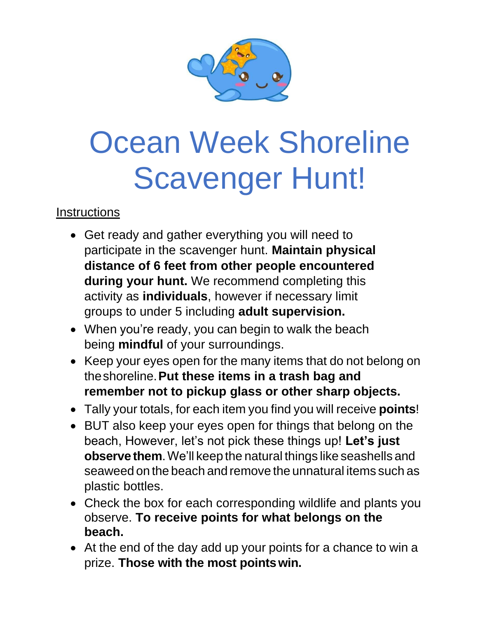

## Ocean Week Shoreline Scavenger Hunt!

**Instructions** 

- Get ready and gather everything you will need to participate in the scavenger hunt. **Maintain physical distance of 6 feet from other people encountered during your hunt.** We recommend completing this activity as **individuals**, however if necessary limit groups to under 5 including **adult supervision.**
- When you're ready, you can begin to walk the beach being **mindful** of your surroundings.
- Keep your eyes open for the many items that do not belong on theshoreline.**Put these items in a trash bag and remember not to pickup glass or other sharp objects.**
- Tally your totals, for each item you find you will receive **points**!
- BUT also keep your eyes open for things that belong on the beach, However, let's not pick these things up! **Let's just observe them**.We'll keep the natural things like seashells and seaweed on the beach and remove the unnatural items such as plastic bottles.
- Check the box for each corresponding wildlife and plants you observe. **To receive points for what belongs on the beach.**
- At the end of the day add up your points for a chance to win a prize. **Those with the most pointswin.**